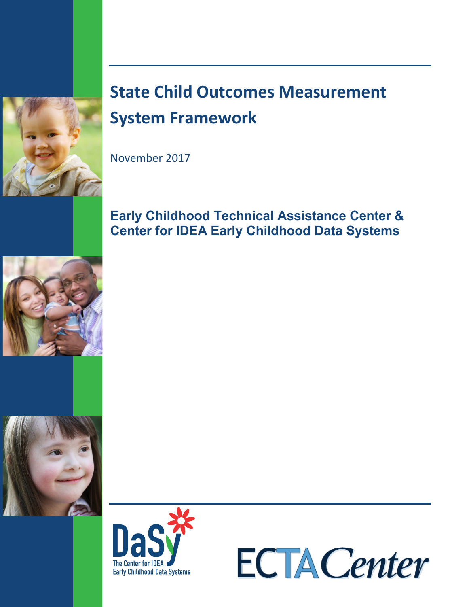

# **State Child Outcomes Measurement System Framework**

November 2017

# **Early Childhood Technical Assistance Center & Center for IDEA Early Childhood Data Systems**







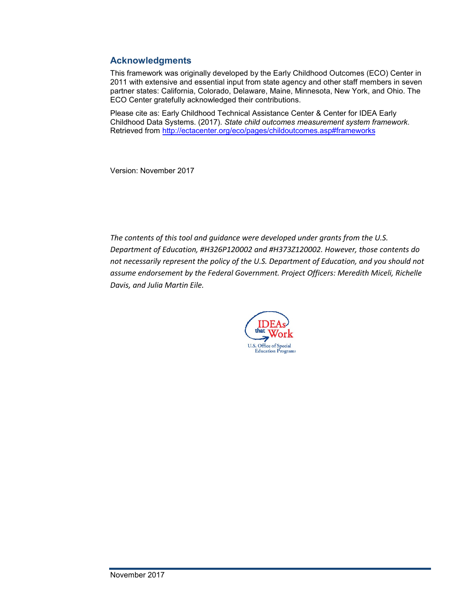#### **Acknowledgments**

This framework was originally developed by the Early Childhood Outcomes (ECO) Center in 2011 with extensive and essential input from state agency and other staff members in seven partner states: California, Colorado, Delaware, Maine, Minnesota, New York, and Ohio. The ECO Center gratefully acknowledged their contributions.

Please cite as: Early Childhood Technical Assistance Center & Center for IDEA Early Childhood Data Systems. (2017). *State child outcomes measurement system framework*. Retrieved from [http://ectacenter.org/eco/pages/childoutcomes.as](http://ectacenter.org/eco/pages/childoutcomes.asp#frameworks)p#frameworks

Version: November 2017

*The contents of this tool and guidance were developed under grants from the U.S. Department of Education, #H326P120002 and #H373Z120002. However, those contents do not necessarily represent the policy of the U.S. Department of Education, and you should not assume endorsement by the Federal Government. Project Officers: Meredith Miceli, Richelle Davis, and Julia Martin Eile.* 

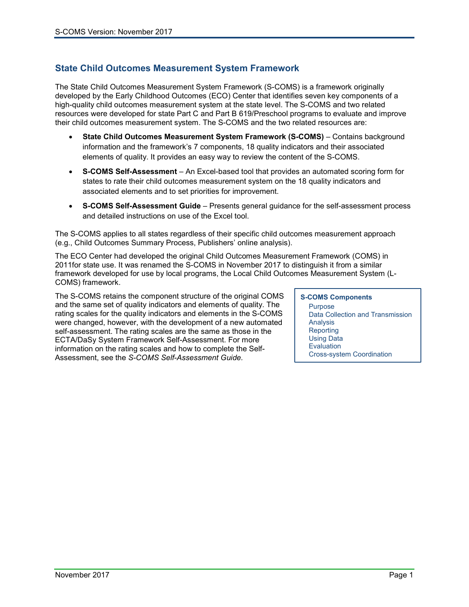#### **State Child Outcomes Measurement System Framework**

The State Child Outcomes Measurement System Framework (S-COMS) is a framework originally developed by the Early Childhood Outcomes (ECO) Center that identifies seven key components of a high-quality child outcomes measurement system at the state level. The S-COMS and two related resources were developed for state Part C and Part B 619/Preschool programs to evaluate and improve their child outcomes measurement system. The S-COMS and the two related resources are:

- **State Child Outcomes Measurement System Framework (S-COMS)** Contains background information and the framework's 7 components, 18 quality indicators and their associated elements of quality. It provides an easy way to review the content of the S-COMS.
- **S-COMS Self-Assessment** An Excel-based tool that provides an automated scoring form for states to rate their child outcomes measurement system on the 18 quality indicators and associated elements and to set priorities for improvement.
- **S-COMS Self-Assessment Guide** Presents general guidance for the self-assessment process and detailed instructions on use of the Excel tool.

The S-COMS applies to all states regardless of their specific child outcomes measurement approach (e.g., Child Outcomes Summary Process, Publishers' online analysis).

The ECO Center had developed the original Child Outcomes Measurement Framework (COMS) in 2011for state use. It was renamed the S-COMS in November 2017 to distinguish it from a similar framework developed for use by local programs, the Local Child Outcomes Measurement System (L-COMS) framework.

The S-COMS retains the component structure of the original COMS and the same set of quality indicators and elements of quality. The rating scales for the quality indicators and elements in the S-COMS were changed, however, with the development of a new automated self-assessment. The rating scales are the same as those in the ECTA/DaSy System Framework Self-Assessment. For more information on the rating scales and how to complete the Self-Assessment, see the *S-COMS Self-Assessment Guide.*

#### **S-COMS Components Purpose** Data Collection and Transmission **Analysis Reporting** Using Data **Evaluation** Cross-system Coordination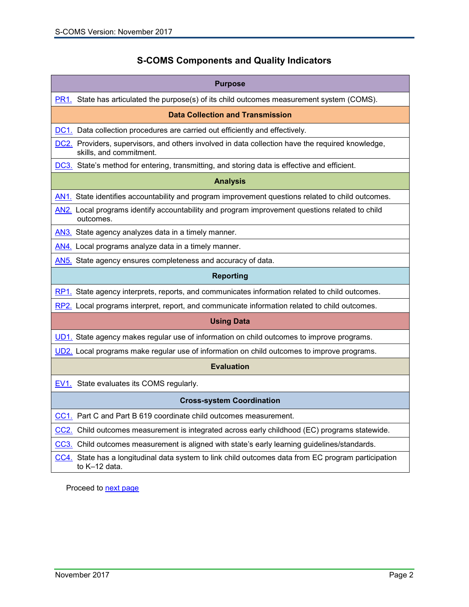# **S-COMS Components and Quality Indicators**

<span id="page-3-0"></span>

| <b>Purpose</b>                                                                                                              |  |
|-----------------------------------------------------------------------------------------------------------------------------|--|
| $PR1.$ State has articulated the purpose(s) of its child outcomes measurement system (COMS).                                |  |
| <b>Data Collection and Transmission</b>                                                                                     |  |
| <b>DC1.</b> Data collection procedures are carried out efficiently and effectively.                                         |  |
| DC2. Providers, supervisors, and others involved in data collection have the required knowledge,<br>skills, and commitment. |  |
| DC3. State's method for entering, transmitting, and storing data is effective and efficient.                                |  |
| <b>Analysis</b>                                                                                                             |  |
| AN1. State identifies accountability and program improvement questions related to child outcomes.                           |  |
| AN2. Local programs identify accountability and program improvement questions related to child<br>outcomes.                 |  |
| AN3. State agency analyzes data in a timely manner.                                                                         |  |
| AN4. Local programs analyze data in a timely manner.                                                                        |  |
| AN5. State agency ensures completeness and accuracy of data.                                                                |  |
| <b>Reporting</b>                                                                                                            |  |
| RP1. State agency interprets, reports, and communicates information related to child outcomes.                              |  |
| RP2. Local programs interpret, report, and communicate information related to child outcomes.                               |  |
| <b>Using Data</b>                                                                                                           |  |
| UD1. State agency makes regular use of information on child outcomes to improve programs.                                   |  |
| UD2. Local programs make regular use of information on child outcomes to improve programs.                                  |  |
| <b>Evaluation</b>                                                                                                           |  |
| <b>EV1.</b> State evaluates its COMS regularly.                                                                             |  |
| <b>Cross-system Coordination</b>                                                                                            |  |
| CC1. Part C and Part B 619 coordinate child outcomes measurement.                                                           |  |
| CC2. Child outcomes measurement is integrated across early childhood (EC) programs statewide.                               |  |
| CC3. Child outcomes measurement is aligned with state's early learning guidelines/standards.                                |  |
| CC4. State has a longitudinal data system to link child outcomes data from EC program participation<br>to K-12 data.        |  |

Proceed to **next page**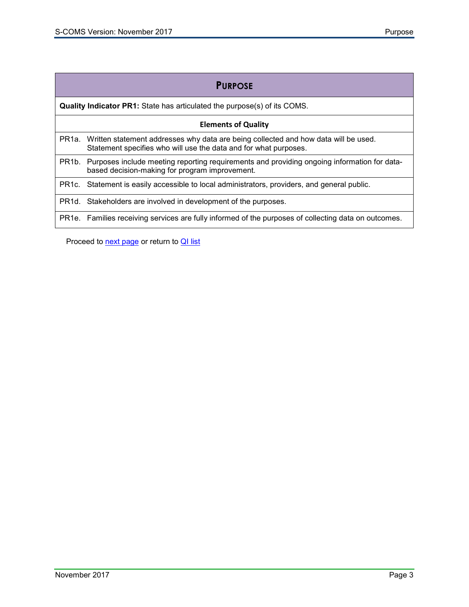<span id="page-4-0"></span>

|                                                                                 | <b>PURPOSE</b>                                                                                                                                          |
|---------------------------------------------------------------------------------|---------------------------------------------------------------------------------------------------------------------------------------------------------|
| <b>Quality Indicator PR1:</b> State has articulated the purpose(s) of its COMS. |                                                                                                                                                         |
| <b>Elements of Quality</b>                                                      |                                                                                                                                                         |
| PR <sub>1</sub> a.                                                              | Written statement addresses why data are being collected and how data will be used.<br>Statement specifies who will use the data and for what purposes. |
| PR <sub>1</sub> b.                                                              | Purposes include meeting reporting requirements and providing ongoing information for data-<br>based decision-making for program improvement.           |
|                                                                                 | PR1c. Statement is easily accessible to local administrators, providers, and general public.                                                            |
|                                                                                 | PR1d. Stakeholders are involved in development of the purposes.                                                                                         |
|                                                                                 | PR1e. Families receiving services are fully informed of the purposes of collecting data on outcomes.                                                    |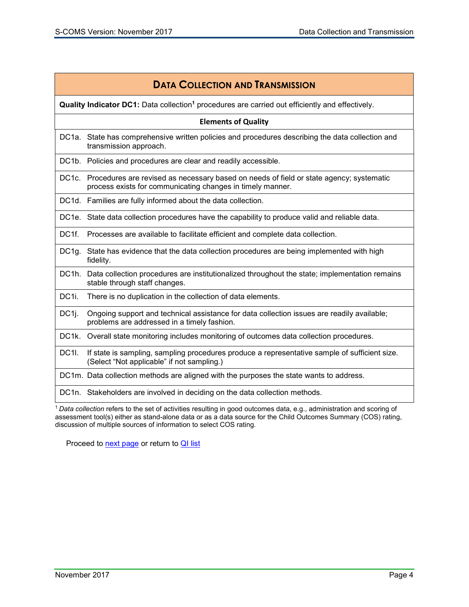<span id="page-5-0"></span>

| <b>DATA COLLECTION AND TRANSMISSION</b> |                                                                                                                                                             |  |
|-----------------------------------------|-------------------------------------------------------------------------------------------------------------------------------------------------------------|--|
|                                         | <b>Quality Indicator DC1:</b> Data collection <sup>1</sup> procedures are carried out efficiently and effectively.                                          |  |
|                                         | <b>Elements of Quality</b>                                                                                                                                  |  |
|                                         | DC1a. State has comprehensive written policies and procedures describing the data collection and<br>transmission approach.                                  |  |
|                                         | DC1b. Policies and procedures are clear and readily accessible.                                                                                             |  |
|                                         | DC1c. Procedures are revised as necessary based on needs of field or state agency; systematic<br>process exists for communicating changes in timely manner. |  |
|                                         | DC1d. Families are fully informed about the data collection.                                                                                                |  |
|                                         | DC1e. State data collection procedures have the capability to produce valid and reliable data.                                                              |  |
| DC1f.                                   | Processes are available to facilitate efficient and complete data collection.                                                                               |  |
| DC1g.                                   | State has evidence that the data collection procedures are being implemented with high<br>fidelity.                                                         |  |
| DC1h.                                   | Data collection procedures are institutionalized throughout the state; implementation remains<br>stable through staff changes.                              |  |
| DC <sub>1i</sub> .                      | There is no duplication in the collection of data elements.                                                                                                 |  |
| DC <sub>1</sub> j.                      | Ongoing support and technical assistance for data collection issues are readily available;<br>problems are addressed in a timely fashion.                   |  |
| DC1k.                                   | Overall state monitoring includes monitoring of outcomes data collection procedures.                                                                        |  |
| <b>DC1I.</b>                            | If state is sampling, sampling procedures produce a representative sample of sufficient size.<br>(Select "Not applicable" if not sampling.)                 |  |
|                                         | DC1m. Data collection methods are aligned with the purposes the state wants to address.                                                                     |  |
|                                         | DC1n. Stakeholders are involved in deciding on the data collection methods.                                                                                 |  |
|                                         | $^1$ Data collection refers to the set of activities resulting in good outcomes data, e.g., administration and scoring of                                   |  |

<sup>1</sup>*Data collection* refers to the set of activities resulting in good outcomes data, e.g., administration and scoring of assessment tool(s) either as stand-alone data or as a data source for the Child Outcomes Summary (COS) rating, discussion of multiple sources of information to select COS rating.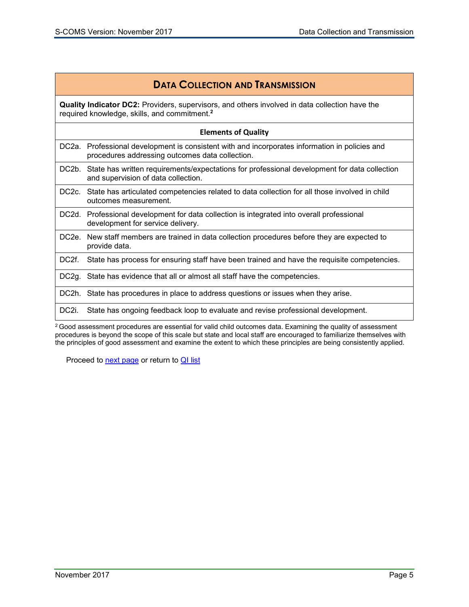## **DATA COLLECTION AND TRANSMISSION**

<span id="page-6-0"></span>**Quality Indicator DC2:** Providers, supervisors, and others involved in data collection have the required knowledge, skills, and commitment. **2**

#### **Elements of Quality**

| DC2a. Professional development is consistent with and incorporates information in policies and |
|------------------------------------------------------------------------------------------------|
| procedures addressing outcomes data collection.                                                |

- DC2b. State has written requirements/expectations for professional development for data collection and supervision of data collection.
- DC2c. State has articulated competencies related to data collection for all those involved in child outcomes measurement.
- DC2d. Professional development for data collection is integrated into overall professional development for service delivery.
- DC2e. New staff members are trained in data collection procedures before they are expected to provide data.
- DC2f. State has process for ensuring staff have been trained and have the requisite competencies.

DC2g. State has evidence that all or almost all staff have the competencies.

DC2h. State has procedures in place to address questions or issues when they arise.

DC2i. State has ongoing feedback loop to evaluate and revise professional development.

<sup>2</sup> Good assessment procedures are essential for valid child outcomes data. Examining the quality of assessment procedures is beyond the scope of this scale but state and local staff are encouraged to familiarize themselves with the principles of good assessment and examine the extent to which these principles are being consistently applied.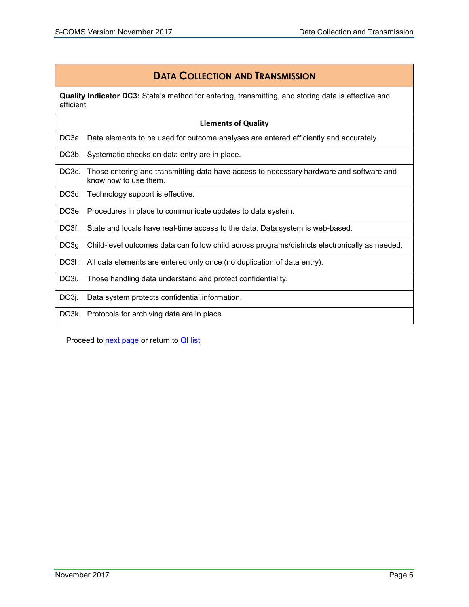# **DATA COLLECTION AND TRANSMISSION**

<span id="page-7-0"></span>**Quality Indicator DC3:** State's method for entering, transmitting, and storing data is effective and efficient.

|                    | <b>Elements of Quality</b>                                                                                       |
|--------------------|------------------------------------------------------------------------------------------------------------------|
|                    | DC3a. Data elements to be used for outcome analyses are entered efficiently and accurately.                      |
| DC3b.              | Systematic checks on data entry are in place.                                                                    |
| DC <sub>3</sub> c. | Those entering and transmitting data have access to necessary hardware and software and<br>know how to use them. |
|                    | DC3d. Technology support is effective.                                                                           |
|                    | DC3e. Procedures in place to communicate updates to data system.                                                 |
| DC3f.              | State and locals have real-time access to the data. Data system is web-based.                                    |
| DC3q.              | Child-level outcomes data can follow child across programs/districts electronically as needed.                   |
|                    | DC3h. All data elements are entered only once (no duplication of data entry).                                    |
| DC3i.              | Those handling data understand and protect confidentiality.                                                      |
| DC3j.              | Data system protects confidential information.                                                                   |
| DC3k.              | Protocols for archiving data are in place.                                                                       |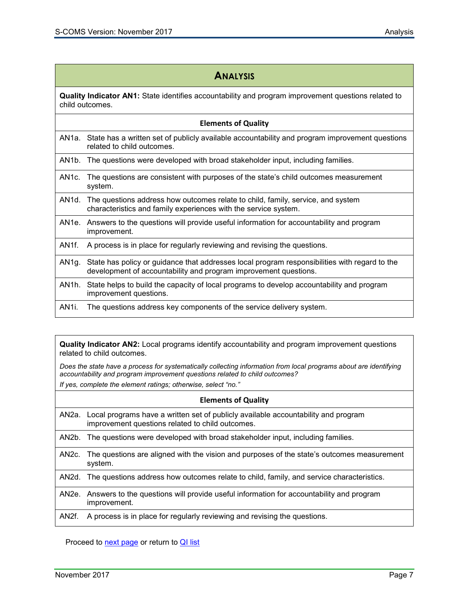<span id="page-8-0"></span>

|                    | <b>ANALYSIS</b>                                                                                                                                                   |  |
|--------------------|-------------------------------------------------------------------------------------------------------------------------------------------------------------------|--|
|                    | Quality Indicator AN1: State identifies accountability and program improvement questions related to<br>child outcomes.                                            |  |
|                    | <b>Elements of Quality</b>                                                                                                                                        |  |
|                    | AN1a. State has a written set of publicly available accountability and program improvement questions<br>related to child outcomes.                                |  |
| AN <sub>1</sub> b. | The questions were developed with broad stakeholder input, including families.                                                                                    |  |
| AN <sub>1</sub> c. | The questions are consistent with purposes of the state's child outcomes measurement<br>system.                                                                   |  |
| AN <sub>1</sub> d. | The questions address how outcomes relate to child, family, service, and system<br>characteristics and family experiences with the service system.                |  |
| AN1e.              | Answers to the questions will provide useful information for accountability and program<br>improvement.                                                           |  |
| AN <sub>1f.</sub>  | A process is in place for regularly reviewing and revising the questions.                                                                                         |  |
| AN1g.              | State has policy or guidance that addresses local program responsibilities with regard to the<br>development of accountability and program improvement questions. |  |
| AN <sub>1</sub> h. | State helps to build the capacity of local programs to develop accountability and program<br>improvement questions.                                               |  |
|                    |                                                                                                                                                                   |  |

AN1i. The questions address key components of the service delivery system.

<span id="page-8-1"></span>**Quality Indicator AN2:** Local programs identify accountability and program improvement questions related to child outcomes.

*Does the state have a process for systematically collecting information from local programs about are identifying accountability and program improvement questions related to child outcomes? If yes, complete the element ratings; otherwise, select "no."*

| <b>Elements of Quality</b> |                                                                                                                                              |
|----------------------------|----------------------------------------------------------------------------------------------------------------------------------------------|
|                            | AN2a. Local programs have a written set of publicly available accountability and program<br>improvement questions related to child outcomes. |
|                            | AN2b. The questions were developed with broad stakeholder input, including families.                                                         |
|                            | AN2c. The questions are aligned with the vision and purposes of the state's outcomes measurement<br>system.                                  |
|                            | AN2d. The questions address how outcomes relate to child, family, and service characteristics.                                               |
|                            | AN2e. Answers to the questions will provide useful information for accountability and program<br>improvement.                                |
| AN <sub>2</sub> f.         | A process is in place for regularly reviewing and revising the questions.                                                                    |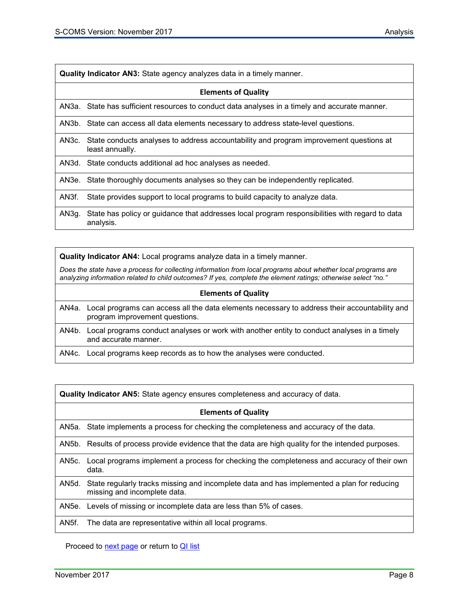<span id="page-9-0"></span>

| Quality Indicator AN3: State agency analyzes data in a timely manner. |
|-----------------------------------------------------------------------|
|-----------------------------------------------------------------------|

|                    | <b>Elements of Quality</b>                                                                                      |
|--------------------|-----------------------------------------------------------------------------------------------------------------|
|                    | AN3a. State has sufficient resources to conduct data analyses in a timely and accurate manner.                  |
|                    | AN3b. State can access all data elements necessary to address state-level questions.                            |
|                    | AN3c. State conducts analyses to address accountability and program improvement questions at<br>least annually. |
|                    | AN3d. State conducts additional ad hoc analyses as needed.                                                      |
|                    | AN3e. State thoroughly documents analyses so they can be independently replicated.                              |
| AN <sub>3</sub> f. | State provides support to local programs to build capacity to analyze data.                                     |
| AN3g.              | State has policy or guidance that addresses local program responsibilities with regard to data<br>analysis.     |

<span id="page-9-1"></span>**Quality Indicator AN4:** Local programs analyze data in a timely manner.

*Does the state have a process for collecting information from local programs about whether local programs are analyzing information related to child outcomes? If yes, complete the element ratings; otherwise select "no."*

#### **Elements of Quality**

AN4a. Local programs can access all the data elements necessary to address their accountability and program improvement questions.

AN4b. Local programs conduct analyses or work with another entity to conduct analyses in a timely and accurate manner.

AN4c. Local programs keep records as to how the analyses were conducted.

<span id="page-9-2"></span>**Quality Indicator AN5:** State agency ensures completeness and accuracy of data.

|                    | <b>Elements of Quality</b>                                                                                                 |
|--------------------|----------------------------------------------------------------------------------------------------------------------------|
| AN5a.              | State implements a process for checking the completeness and accuracy of the data.                                         |
| AN5b.              | Results of process provide evidence that the data are high quality for the intended purposes.                              |
| AN5c.              | Local programs implement a process for checking the completeness and accuracy of their own<br>data.                        |
| AN5d.              | State regularly tracks missing and incomplete data and has implemented a plan for reducing<br>missing and incomplete data. |
|                    | AN5e. Levels of missing or incomplete data are less than 5% of cases.                                                      |
| AN <sub>5f</sub> . | The data are representative within all local programs.                                                                     |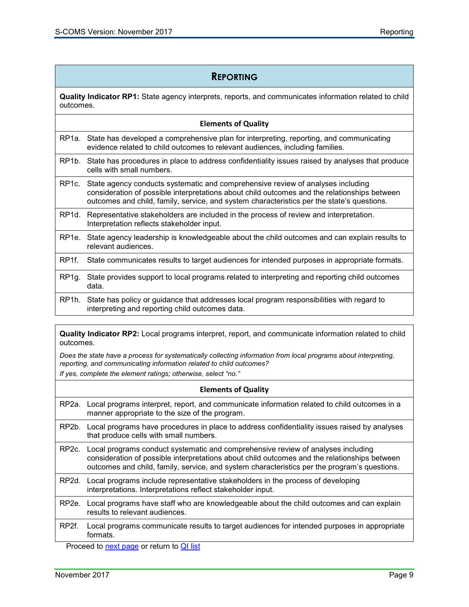#### **REPORTING**

<span id="page-10-0"></span>**Quality Indicator RP1:** State agency interprets, reports, and communicates information related to child outcomes.

#### **Elements of Quality**

- RP1a. State has developed a comprehensive plan for interpreting, reporting, and communicating evidence related to child outcomes to relevant audiences, including families.
- RP1b. State has procedures in place to address confidentiality issues raised by analyses that produce cells with small numbers.
- RP1c. State agency conducts systematic and comprehensive review of analyses including consideration of possible interpretations about child outcomes and the relationships between outcomes and child, family, service, and system characteristics per the state's questions.
- RP1d. Representative stakeholders are included in the process of review and interpretation. Interpretation reflects stakeholder input.
- RP1e. State agency leadership is knowledgeable about the child outcomes and can explain results to relevant audiences.
- RP1f. State communicates results to target audiences for intended purposes in appropriate formats.
- RP1g. State provides support to local programs related to interpreting and reporting child outcomes data.
- RP1h. State has policy or guidance that addresses local program responsibilities with regard to interpreting and reporting child outcomes data.

<span id="page-10-1"></span>**Quality Indicator RP2:** Local programs interpret, report, and communicate information related to child outcomes.

*Does the state have a process for systematically collecting information from local programs about interpreting, reporting, and communicating information related to child outcomes? If yes, complete the element ratings; otherwise, select "no."* 

# **Elements of Quality**

RP2a. Local programs interpret, report, and communicate information related to child outcomes in a manner appropriate to the size of the program.

- RP2b. Local programs have procedures in place to address confidentiality issues raised by analyses that produce cells with small numbers.
- RP2c. Local programs conduct systematic and comprehensive review of analyses including consideration of possible interpretations about child outcomes and the relationships between outcomes and child, family, service, and system characteristics per the program's questions.

RP2d. Local programs include representative stakeholders in the process of developing interpretations. Interpretations reflect stakeholder input.

- RP2e. Local programs have staff who are knowledgeable about the child outcomes and can explain results to relevant audiences.
- RP2f. Local programs communicate results to target audiences for intended purposes in appropriate formats.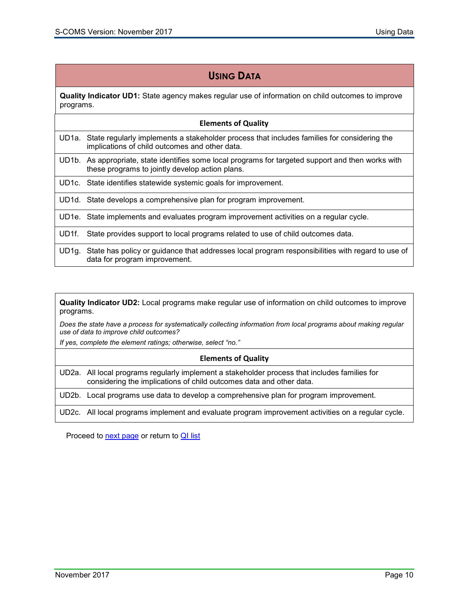### **USING DATA**

<span id="page-11-0"></span>**Quality Indicator UD1:** State agency makes regular use of information on child outcomes to improve programs.

#### **Elements of Quality**

UD1a. State regularly implements a stakeholder process that includes families for considering the implications of child outcomes and other data.

UD1b. As appropriate, state identifies some local programs for targeted support and then works with these programs to jointly develop action plans.

UD1c. State identifies statewide systemic goals for improvement.

UD1d. State develops a comprehensive plan for program improvement.

UD1e. State implements and evaluates program improvement activities on a regular cycle.

UD1f. State provides support to local programs related to use of child outcomes data.

UD1g. State has policy or guidance that addresses local program responsibilities with regard to use of data for program improvement.

<span id="page-11-1"></span>**Quality Indicator UD2:** Local programs make regular use of information on child outcomes to improve programs.

*Does the state have a process for systematically collecting information from local programs about making regular use of data to improve child outcomes?*

*If yes, complete the element ratings; otherwise, select "no."*

#### **Elements of Quality**

UD2a. All local programs regularly implement a stakeholder process that includes families for considering the implications of child outcomes data and other data.

UD2b. Local programs use data to develop a comprehensive plan for program improvement.

UD2c. All local programs implement and evaluate program improvement activities on a regular cycle.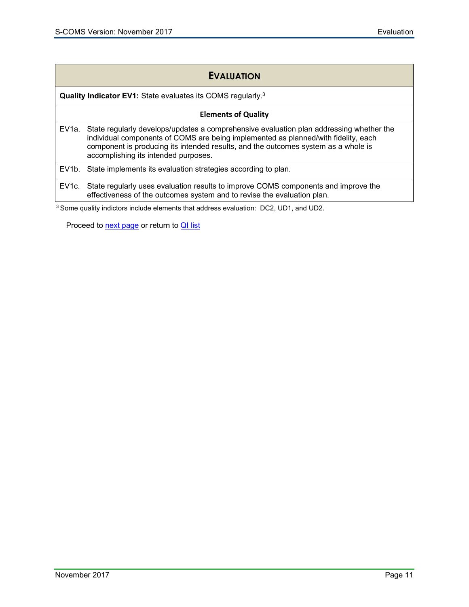| <b>EVALUATION</b> |
|-------------------|
|-------------------|

<span id="page-12-0"></span>**Quality Indicator EV1:** State evaluates its COMS regularly. 3

#### **Elements of Quality**

EV1a. State regularly develops/updates a comprehensive evaluation plan addressing whether the individual components of COMS are being implemented as planned/with fidelity, each component is producing its intended results, and the outcomes system as a whole is accomplishing its intended purposes.

EV1b. State implements its evaluation strategies according to plan.

EV1c. State regularly uses evaluation results to improve COMS components and improve the effectiveness of the outcomes system and to revise the evaluation plan.

3 Some quality indictors include elements that address evaluation: DC2, UD1, and UD2.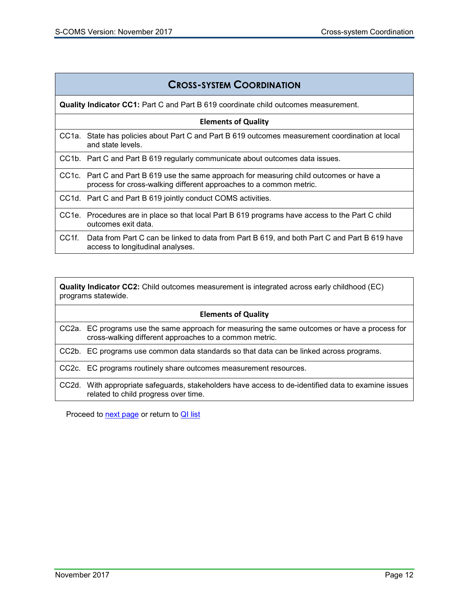<span id="page-13-0"></span>

| <b>CROSS-SYSTEM COORDINATION</b>                                                           |                                                                                                                                                                |
|--------------------------------------------------------------------------------------------|----------------------------------------------------------------------------------------------------------------------------------------------------------------|
| <b>Quality Indicator CC1:</b> Part C and Part B 619 coordinate child outcomes measurement. |                                                                                                                                                                |
| <b>Elements of Quality</b>                                                                 |                                                                                                                                                                |
|                                                                                            | CC1a. State has policies about Part C and Part B 619 outcomes measurement coordination at local<br>and state levels.                                           |
|                                                                                            | CC1b. Part C and Part B 619 regularly communicate about outcomes data issues.                                                                                  |
|                                                                                            | CC1c. Part C and Part B 619 use the same approach for measuring child outcomes or have a<br>process for cross-walking different approaches to a common metric. |
|                                                                                            | CC1d. Part C and Part B 619 jointly conduct COMS activities.                                                                                                   |
| CC1e.                                                                                      | Procedures are in place so that local Part B 619 programs have access to the Part C child<br>outcomes exit data.                                               |
| CC <sub>1f</sub>                                                                           | Data from Part C can be linked to data from Part B 619, and both Part C and Part B 619 have<br>access to longitudinal analyses.                                |

<span id="page-13-1"></span>**Quality Indicator CC2:** Child outcomes measurement is integrated across early childhood (EC) programs statewide.

| <b>Elements of Quality</b> |                                                                                                                                                         |
|----------------------------|---------------------------------------------------------------------------------------------------------------------------------------------------------|
|                            | CC2a. EC programs use the same approach for measuring the same outcomes or have a process for<br>cross-walking different approaches to a common metric. |
|                            | CC2b. EC programs use common data standards so that data can be linked across programs.                                                                 |
|                            | CC2c. EC programs routinely share outcomes measurement resources.                                                                                       |
|                            | CC2d. With appropriate safeguards, stakeholders have access to de-identified data to examine issues<br>related to child progress over time.             |